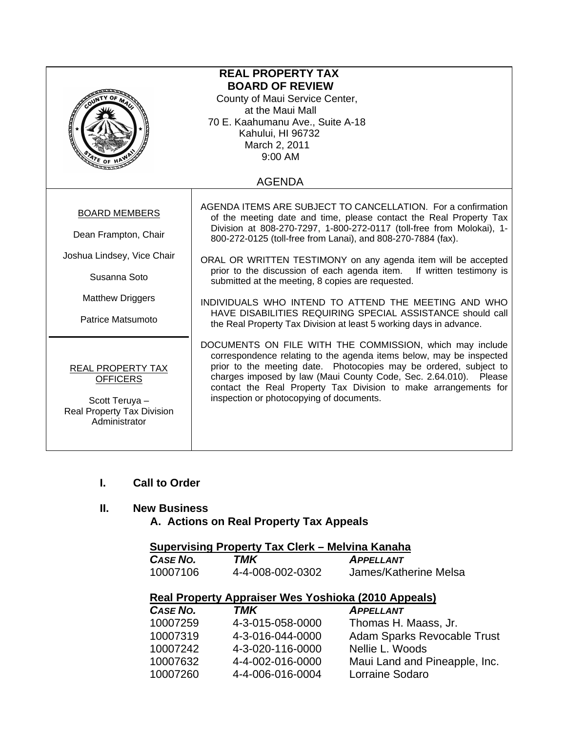| <b>REAL PROPERTY TAX</b><br><b>BOARD OF REVIEW</b><br>County of Maui Service Center,<br>at the Maui Mall<br>70 E. Kaahumanu Ave., Suite A-18<br>Kahului, HI 96732<br>March 2, 2011<br>9:00 AM<br>ATE OF H |                                                                                                                                                                                                                                                                                                                                                                                                                                                                                                                                                                                                                                                                       |  |  |
|-----------------------------------------------------------------------------------------------------------------------------------------------------------------------------------------------------------|-----------------------------------------------------------------------------------------------------------------------------------------------------------------------------------------------------------------------------------------------------------------------------------------------------------------------------------------------------------------------------------------------------------------------------------------------------------------------------------------------------------------------------------------------------------------------------------------------------------------------------------------------------------------------|--|--|
| <b>AGENDA</b>                                                                                                                                                                                             |                                                                                                                                                                                                                                                                                                                                                                                                                                                                                                                                                                                                                                                                       |  |  |
| <b>BOARD MEMBERS</b><br>Dean Frampton, Chair<br>Joshua Lindsey, Vice Chair<br>Susanna Soto<br><b>Matthew Driggers</b><br>Patrice Matsumoto                                                                | AGENDA ITEMS ARE SUBJECT TO CANCELLATION. For a confirmation<br>of the meeting date and time, please contact the Real Property Tax<br>Division at 808-270-7297, 1-800-272-0117 (toll-free from Molokai), 1-<br>800-272-0125 (toll-free from Lanai), and 808-270-7884 (fax).<br>ORAL OR WRITTEN TESTIMONY on any agenda item will be accepted<br>prior to the discussion of each agenda item. If written testimony is<br>submitted at the meeting, 8 copies are requested.<br>INDIVIDUALS WHO INTEND TO ATTEND THE MEETING AND WHO<br>HAVE DISABILITIES REQUIRING SPECIAL ASSISTANCE should call<br>the Real Property Tax Division at least 5 working days in advance. |  |  |
| REAL PROPERTY TAX<br><b>OFFICERS</b><br>Scott Teruya -<br><b>Real Property Tax Division</b><br>Administrator                                                                                              | DOCUMENTS ON FILE WITH THE COMMISSION, which may include<br>correspondence relating to the agenda items below, may be inspected<br>prior to the meeting date. Photocopies may be ordered, subject to<br>charges imposed by law (Maui County Code, Sec. 2.64.010). Please<br>contact the Real Property Tax Division to make arrangements for<br>inspection or photocopying of documents.                                                                                                                                                                                                                                                                               |  |  |

**I. Call to Order** 

# **II. New Business**

 **A. Actions on Real Property Tax Appeals** 

|                                                             |       | Supervising Property Tax Clerk – Melvina Kanaha                                           |
|-------------------------------------------------------------|-------|-------------------------------------------------------------------------------------------|
| $\mathbf{A} \cdot \mathbf{A} = \mathbf{A} \cdot \mathbf{A}$ | ----- | the company of the company of the company of the company of the company of the company of |

| <b>CASE NO.</b> | TMK              | <b>APPELLANT</b>      |
|-----------------|------------------|-----------------------|
| 10007106        | 4-4-008-002-0302 | James/Katherine Melsa |

# **Real Property Appraiser Wes Yoshioka (2010 Appeals)**

| CASE NO. | TMK              | <b>APPELLANT</b>                   |
|----------|------------------|------------------------------------|
| 10007259 | 4-3-015-058-0000 | Thomas H. Maass, Jr.               |
| 10007319 | 4-3-016-044-0000 | <b>Adam Sparks Revocable Trust</b> |
| 10007242 | 4-3-020-116-0000 | Nellie L. Woods                    |
| 10007632 | 4-4-002-016-0000 | Maui Land and Pineapple, Inc.      |
| 10007260 | 4-4-006-016-0004 | Lorraine Sodaro                    |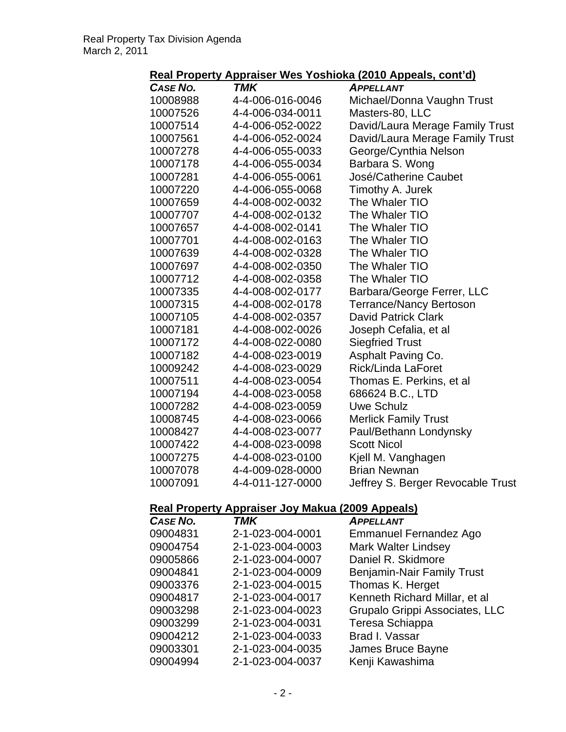## **Real Property Appraiser Wes Yoshioka (2010 Appeals, cont'd)**

| <b>CASE NO.</b> | <b>TMK</b>       | <b>APPELLANT</b>                  |
|-----------------|------------------|-----------------------------------|
| 10008988        | 4-4-006-016-0046 | Michael/Donna Vaughn Trust        |
| 10007526        | 4-4-006-034-0011 | Masters-80, LLC                   |
| 10007514        | 4-4-006-052-0022 | David/Laura Merage Family Trust   |
| 10007561        | 4-4-006-052-0024 | David/Laura Merage Family Trust   |
| 10007278        | 4-4-006-055-0033 | George/Cynthia Nelson             |
| 10007178        | 4-4-006-055-0034 | Barbara S. Wong                   |
| 10007281        | 4-4-006-055-0061 | José/Catherine Caubet             |
| 10007220        | 4-4-006-055-0068 | Timothy A. Jurek                  |
| 10007659        | 4-4-008-002-0032 | The Whaler TIO                    |
| 10007707        | 4-4-008-002-0132 | The Whaler TIO                    |
| 10007657        | 4-4-008-002-0141 | The Whaler TIO                    |
| 10007701        | 4-4-008-002-0163 | The Whaler TIO                    |
| 10007639        | 4-4-008-002-0328 | The Whaler TIO                    |
| 10007697        | 4-4-008-002-0350 | The Whaler TIO                    |
| 10007712        | 4-4-008-002-0358 | The Whaler TIO                    |
| 10007335        | 4-4-008-002-0177 | Barbara/George Ferrer, LLC        |
| 10007315        | 4-4-008-002-0178 | <b>Terrance/Nancy Bertoson</b>    |
| 10007105        | 4-4-008-002-0357 | <b>David Patrick Clark</b>        |
| 10007181        | 4-4-008-002-0026 | Joseph Cefalia, et al             |
| 10007172        | 4-4-008-022-0080 | <b>Siegfried Trust</b>            |
| 10007182        | 4-4-008-023-0019 | Asphalt Paving Co.                |
| 10009242        | 4-4-008-023-0029 | <b>Rick/Linda LaForet</b>         |
| 10007511        | 4-4-008-023-0054 | Thomas E. Perkins, et al          |
| 10007194        | 4-4-008-023-0058 | 686624 B.C., LTD                  |
| 10007282        | 4-4-008-023-0059 | <b>Uwe Schulz</b>                 |
| 10008745        | 4-4-008-023-0066 | <b>Merlick Family Trust</b>       |
| 10008427        | 4-4-008-023-0077 | Paul/Bethann Londynsky            |
| 10007422        | 4-4-008-023-0098 | <b>Scott Nicol</b>                |
| 10007275        | 4-4-008-023-0100 | Kjell M. Vanghagen                |
| 10007078        | 4-4-009-028-0000 | <b>Brian Newnan</b>               |
| 10007091        | 4-4-011-127-0000 | Jeffrey S. Berger Revocable Trust |
|                 |                  |                                   |

# **Real Property Appraiser Joy Makua (2009 Appeals)**

| CASE NO. | <b>TMK</b>       | <b>APPELLANT</b>                  |
|----------|------------------|-----------------------------------|
| 09004831 | 2-1-023-004-0001 | <b>Emmanuel Fernandez Ago</b>     |
| 09004754 | 2-1-023-004-0003 | <b>Mark Walter Lindsey</b>        |
| 09005866 | 2-1-023-004-0007 | Daniel R. Skidmore                |
| 09004841 | 2-1-023-004-0009 | <b>Benjamin-Nair Family Trust</b> |
| 09003376 | 2-1-023-004-0015 | Thomas K. Herget                  |
| 09004817 | 2-1-023-004-0017 | Kenneth Richard Millar, et al     |
| 09003298 | 2-1-023-004-0023 | Grupalo Grippi Associates, LLC    |
| 09003299 | 2-1-023-004-0031 | Teresa Schiappa                   |
| 09004212 | 2-1-023-004-0033 | Brad I. Vassar                    |
| 09003301 | 2-1-023-004-0035 | James Bruce Bayne                 |
| 09004994 | 2-1-023-004-0037 | Kenji Kawashima                   |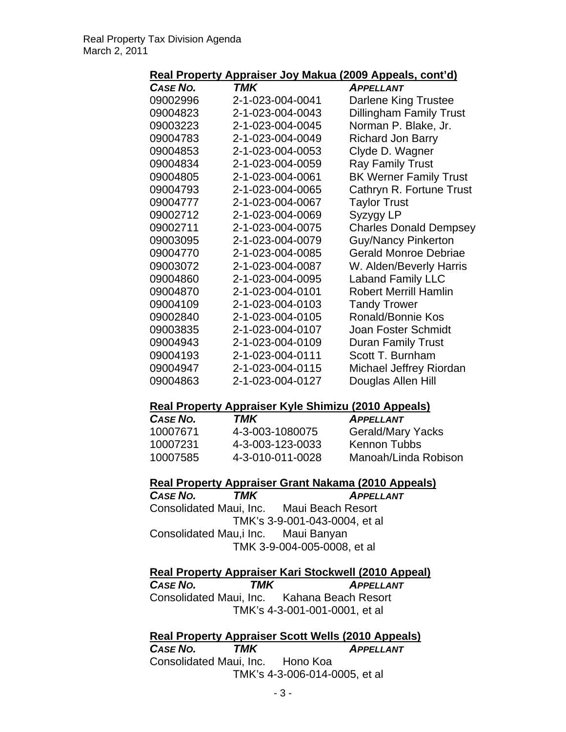#### **Real Property Appraiser Joy Makua (2009 Appeals, cont'd)**

| CASE NO. | TMK              | <b>APPELLANT</b>               |
|----------|------------------|--------------------------------|
| 09002996 | 2-1-023-004-0041 | Darlene King Trustee           |
| 09004823 | 2-1-023-004-0043 | <b>Dillingham Family Trust</b> |
| 09003223 | 2-1-023-004-0045 | Norman P. Blake, Jr.           |
| 09004783 | 2-1-023-004-0049 | <b>Richard Jon Barry</b>       |
| 09004853 | 2-1-023-004-0053 | Clyde D. Wagner                |
| 09004834 | 2-1-023-004-0059 | <b>Ray Family Trust</b>        |
| 09004805 | 2-1-023-004-0061 | <b>BK Werner Family Trust</b>  |
| 09004793 | 2-1-023-004-0065 | Cathryn R. Fortune Trust       |
| 09004777 | 2-1-023-004-0067 | <b>Taylor Trust</b>            |
| 09002712 | 2-1-023-004-0069 | Syzygy LP                      |
| 09002711 | 2-1-023-004-0075 | <b>Charles Donald Dempsey</b>  |
| 09003095 | 2-1-023-004-0079 | <b>Guy/Nancy Pinkerton</b>     |
| 09004770 | 2-1-023-004-0085 | <b>Gerald Monroe Debriae</b>   |
| 09003072 | 2-1-023-004-0087 | W. Alden/Beverly Harris        |
| 09004860 | 2-1-023-004-0095 | <b>Laband Family LLC</b>       |
| 09004870 | 2-1-023-004-0101 | <b>Robert Merrill Hamlin</b>   |
| 09004109 | 2-1-023-004-0103 | <b>Tandy Trower</b>            |
| 09002840 | 2-1-023-004-0105 | Ronald/Bonnie Kos              |
| 09003835 | 2-1-023-004-0107 | <b>Joan Foster Schmidt</b>     |
| 09004943 | 2-1-023-004-0109 | <b>Duran Family Trust</b>      |
| 09004193 | 2-1-023-004-0111 | Scott T. Burnham               |
| 09004947 | 2-1-023-004-0115 | Michael Jeffrey Riordan        |
| 09004863 | 2-1-023-004-0127 | Douglas Allen Hill             |

#### **Real Property Appraiser Kyle Shimizu (2010 Appeals)**

| <b>CASE NO.</b> | TMK              | <b>APPELLANT</b>         |
|-----------------|------------------|--------------------------|
| 10007671        | 4-3-003-1080075  | <b>Gerald/Mary Yacks</b> |
| 10007231        | 4-3-003-123-0033 | Kennon Tubbs             |
| 10007585        | 4-3-010-011-0028 | Manoah/Linda Robison     |

#### **Real Property Appraiser Grant Nakama (2010 Appeals)**

*CASE NO. TMK APPELLANT* Consolidated Maui, Inc. Maui Beach Resort TMK's 3-9-001-043-0004, et al Consolidated Mau,i Inc. Maui Banyan TMK 3-9-004-005-0008, et al

**Real Property Appraiser Kari Stockwell (2010 Appeal)** *CASE NO. TMK APPELLANT* Consolidated Maui, Inc. Kahana Beach Resort TMK's 4-3-001-001-0001, et al

#### **Real Property Appraiser Scott Wells (2010 Appeals) TMK** APPELLANT Consolidated Maui, Inc. Hono Koa

TMK's 4-3-006-014-0005, et al